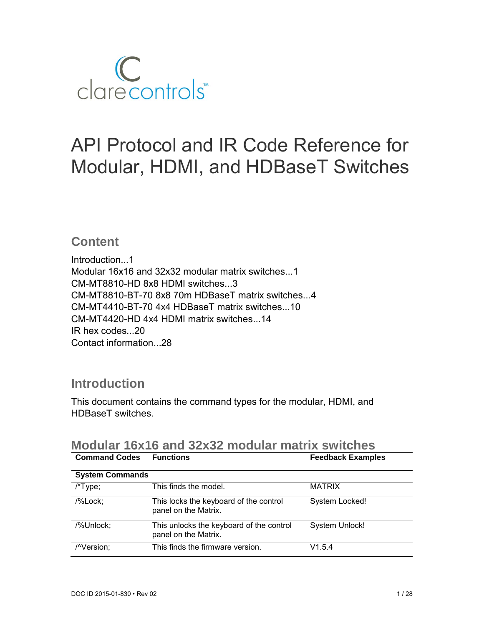

# API Protocol and IR Code Reference for Modular, HDMI, and HDBaseT Switches

### **Content**

Introduction...1 Modular 16x16 and 32x32 modular matrix switches...1 CM-MT8810-HD 8x8 HDMI switches...3 CM-MT8810-BT-70 8x8 70m HDBaseT matrix switches...4 CM-MT4410-BT-70 4x4 HDBaseT matrix switches...10 CM-MT4420-HD 4x4 HDMI matrix switches...14 IR hex codes...20 Contact information...28

### **Introduction**

This document contains the command types for the modular, HDMI, and HDBaseT switches.

| <b>Command Codes</b>   | <b>Functions</b>                                                 | <b>Feedback Examples</b> |
|------------------------|------------------------------------------------------------------|--------------------------|
| <b>System Commands</b> |                                                                  |                          |
| $/*Type;$              | This finds the model.                                            | <b>MATRIX</b>            |
| /%Lock;                | This locks the keyboard of the control<br>panel on the Matrix.   | System Locked!           |
| /%Unlock;              | This unlocks the keyboard of the control<br>panel on the Matrix. | <b>System Unlock!</b>    |
| /^Version;             | This finds the firmware version.                                 | V1.5.4                   |

### **Modular 16x16 and 32x32 modular matrix switches**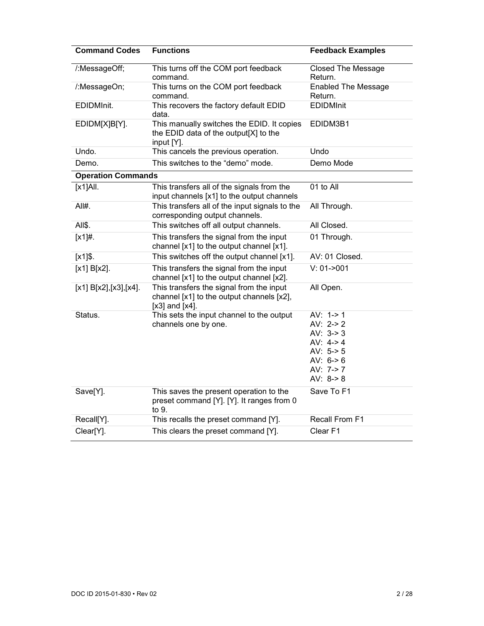| <b>Command Codes</b>      | <b>Functions</b>                                                                                             | <b>Feedback Examples</b>                                                                                            |
|---------------------------|--------------------------------------------------------------------------------------------------------------|---------------------------------------------------------------------------------------------------------------------|
| /:MessageOff;             | This turns off the COM port feedback<br>command.                                                             | <b>Closed The Message</b><br>Return.                                                                                |
| /:MessageOn;              | This turns on the COM port feedback<br>command.                                                              | <b>Enabled The Message</b><br>Return.                                                                               |
| EDIDMInit.                | This recovers the factory default EDID<br>data.                                                              | <b>EDIDMInit</b>                                                                                                    |
| EDIDM[X]B[Y].             | This manually switches the EDID. It copies<br>the EDID data of the output[X] to the<br>input [Y].            | EDIDM3B1                                                                                                            |
| Undo.                     | This cancels the previous operation.                                                                         | Undo                                                                                                                |
| Demo.                     | This switches to the "demo" mode.                                                                            | Demo Mode                                                                                                           |
| <b>Operation Commands</b> |                                                                                                              |                                                                                                                     |
| $[x1]$ All.               | This transfers all of the signals from the<br>input channels [x1] to the output channels                     | 01 to All                                                                                                           |
| $All#$ .                  | This transfers all of the input signals to the<br>corresponding output channels.                             | All Through.                                                                                                        |
| All\$.                    | This switches off all output channels.                                                                       | All Closed.                                                                                                         |
| $[x1]$ #.                 | This transfers the signal from the input<br>channel [x1] to the output channel [x1].                         | 01 Through.                                                                                                         |
| $[x1]$ .                  | This switches off the output channel [x1].                                                                   | AV: 01 Closed.                                                                                                      |
| $[x1] B[x2]$ .            | This transfers the signal from the input<br>channel [x1] to the output channel [x2].                         | $V: 01 - 001$                                                                                                       |
| [x1] B[x2], [x3], [x4].   | This transfers the signal from the input<br>channel [x1] to the output channels [x2],<br>$[x3]$ and $[x4]$ . | All Open.                                                                                                           |
| Status.                   | This sets the input channel to the output<br>channels one by one.                                            | AV: $1 - > 1$<br>AV: $2 > 2$<br>AV: $3 - 3$<br>AV: $4 - 4$<br>AV: $5 - 5$<br>AV: $6->6$<br>AV: 7-> 7<br>AV: $8 - 8$ |
| Save[Y].                  | This saves the present operation to the<br>preset command [Y]. [Y]. It ranges from 0<br>to 9.                | Save To F1                                                                                                          |
| Recall[Y].                | This recalls the preset command [Y].                                                                         | Recall From F1                                                                                                      |
| Clear[Y].                 | This clears the preset command [Y].                                                                          | Clear F1                                                                                                            |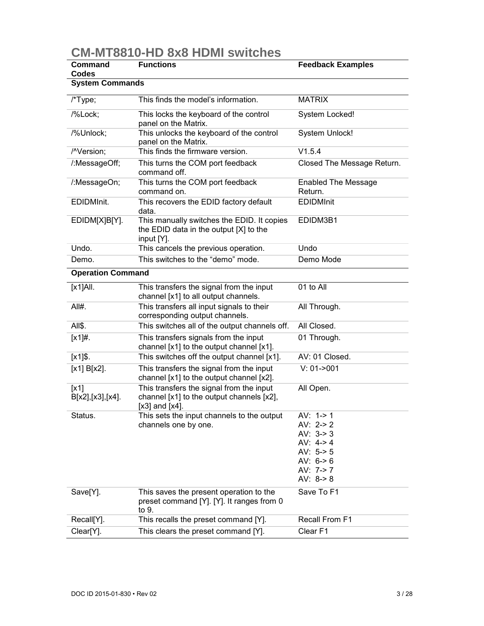# **CM-MT8810-HD 8x8 HDMI switches**

| Command<br>Codes                          | <b>Functions</b>                                                                                             | <b>Feedback Examples</b>                                                                                    |
|-------------------------------------------|--------------------------------------------------------------------------------------------------------------|-------------------------------------------------------------------------------------------------------------|
| <b>System Commands</b>                    |                                                                                                              |                                                                                                             |
| $/*Type;$                                 | This finds the model's information.                                                                          | <b>MATRIX</b>                                                                                               |
| /%Lock;                                   | This locks the keyboard of the control<br>panel on the Matrix.                                               | System Locked!                                                                                              |
| /%Unlock;                                 | This unlocks the keyboard of the control<br>panel on the Matrix.                                             | <b>System Unlock!</b>                                                                                       |
| /^Version;                                | This finds the firmware version.                                                                             | V1.5.4                                                                                                      |
| /:MessageOff;                             | This turns the COM port feedback<br>command off.                                                             | Closed The Message Return.                                                                                  |
| /:MessageOn;                              | This turns the COM port feedback<br>command on.                                                              | <b>Enabled The Message</b><br>Return.                                                                       |
| EDIDMInit.                                | This recovers the EDID factory default<br>data.                                                              | <b>EDIDMInit</b>                                                                                            |
| EDIDM[X]B[Y].                             | This manually switches the EDID. It copies<br>the EDID data in the output [X] to the<br>input [Y].           | EDIDM3B1                                                                                                    |
| Undo.                                     | This cancels the previous operation.                                                                         | Undo                                                                                                        |
| Demo.                                     | This switches to the "demo" mode.                                                                            | Demo Mode                                                                                                   |
| <b>Operation Command</b>                  |                                                                                                              |                                                                                                             |
| $[x1]$ All.                               | This transfers the signal from the input<br>channel [x1] to all output channels.                             | 01 to All                                                                                                   |
| All#.                                     | This transfers all input signals to their<br>corresponding output channels.                                  | All Through.                                                                                                |
| All\$.                                    | This switches all of the output channels off.                                                                | All Closed.                                                                                                 |
| $[x1]$ #.                                 | This transfers signals from the input<br>channel [x1] to the output channel [x1].                            | 01 Through.                                                                                                 |
| $[x1]$ \$.                                | This switches off the output channel [x1].                                                                   | AV: 01 Closed.                                                                                              |
| [x1] B[x2].                               | This transfers the signal from the input<br>channel [x1] to the output channel [x2].                         | $V: 01 - 001$                                                                                               |
| $\lfloor x_1 \rfloor$<br>B[x2],[x3],[x4]. | This transfers the signal from the input<br>channel [x1] to the output channels [x2],<br>$[x3]$ and $[x4]$ . | All Open.                                                                                                   |
| Status.                                   | This sets the input channels to the output<br>channels one by one.                                           | AV: 1-> 1<br>AV: $2 > 2$<br>AV: $3 - 3$<br>AV: $4 - 4$<br>AV: $5-5$<br>AV: $6->6$<br>AV: 7-> 7<br>AV: $8-8$ |
| Save[Y].                                  | This saves the present operation to the<br>preset command [Y]. [Y]. It ranges from 0<br>to 9.                | Save To F1                                                                                                  |
| Recall[Y].                                | This recalls the preset command [Y].                                                                         | Recall From F1                                                                                              |
| Clear[Y].                                 | This clears the preset command [Y].                                                                          | Clear <sub>F1</sub>                                                                                         |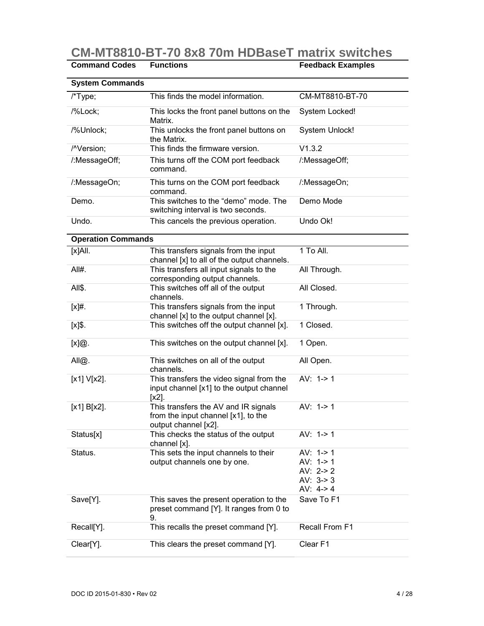**CM-MT8810-BT-70 8x8 70m HDBaseT matrix switches** 

| <b>Command Codes</b>      | <b>Functions</b>                                                                                    | <b>Feedback Examples</b>   |
|---------------------------|-----------------------------------------------------------------------------------------------------|----------------------------|
| <b>System Commands</b>    |                                                                                                     |                            |
| /*Type;                   | This finds the model information.                                                                   | CM-MT8810-BT-70            |
| /%Lock;                   | This locks the front panel buttons on the<br>Matrix.                                                | System Locked!             |
| /%Unlock;                 | This unlocks the front panel buttons on<br>the Matrix.                                              | <b>System Unlock!</b>      |
| /^Version;                | This finds the firmware version.                                                                    | V1.3.2                     |
| /:MessageOff;             | This turns off the COM port feedback<br>command.                                                    | /:MessageOff;              |
| /:MessageOn;              | This turns on the COM port feedback<br>command.                                                     | /:MessageOn;               |
| Demo.                     | This switches to the "demo" mode. The<br>switching interval is two seconds.                         | Demo Mode                  |
| Undo.                     | This cancels the previous operation.                                                                | Undo Ok!                   |
| <b>Operation Commands</b> |                                                                                                     |                            |
| [x]All.                   | This transfers signals from the input<br>channel [x] to all of the output channels.                 | 1 To All.                  |
| All#.                     | This transfers all input signals to the<br>corresponding output channels.                           | All Through.               |
| All\$.                    | This switches off all of the output<br>channels.                                                    | All Closed.                |
| $[x]$ #.                  | This transfers signals from the input<br>channel [x] to the output channel [x].                     | 1 Through.                 |
| $[x]$ \$.                 | This switches off the output channel [x].                                                           | 1 Closed.                  |
| [x]@.                     | This switches on the output channel [x].                                                            | 1 Open.                    |
| All@.                     | This switches on all of the output<br>channels.                                                     | All Open.                  |
| $[x1] V[x2]$ .            | This transfers the video signal from the<br>input channel [x1] to the output channel<br>$[x2]$ .    | AV: $1 - > 1$              |
| $[x1] B[x2]$ .            | This transfers the AV and IR signals<br>from the input channel [x1], to the<br>output channel [x2]. | AV: $1 - > 1$              |
| Status[x]                 | This checks the status of the output<br>channel [x].                                                | AV: $1->1$                 |
| Status.                   | This sets the input channels to their                                                               | AV: $1 - > 1$              |
|                           | output channels one by one.                                                                         | AV: $1 - > 1$              |
|                           |                                                                                                     | AV: $2 > 2$<br>AV: $3 - 3$ |
|                           |                                                                                                     | AV: $4 - 4$                |
| Save[Y].                  | This saves the present operation to the<br>preset command [Y]. It ranges from 0 to<br>9.            | Save To F1                 |
| Recall[Y].                | This recalls the preset command [Y].                                                                | Recall From F1             |
| Clear[Y].                 | This clears the preset command [Y].                                                                 | Clear F1                   |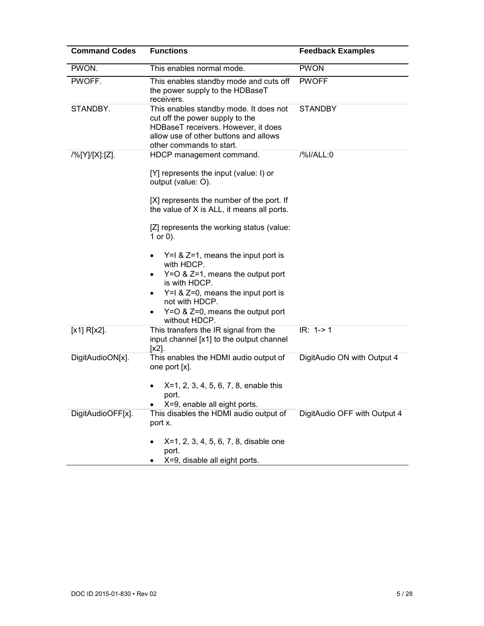| <b>Command Codes</b> | <b>Functions</b>                                                                                                                                                                      | <b>Feedback Examples</b>     |
|----------------------|---------------------------------------------------------------------------------------------------------------------------------------------------------------------------------------|------------------------------|
| PWON.                | This enables normal mode.                                                                                                                                                             | <b>PWON</b>                  |
| PWOFF.               | This enables standby mode and cuts off<br>the power supply to the HDBaseT<br>receivers.                                                                                               | <b>PWOFF</b>                 |
| STANDBY.             | This enables standby mode. It does not<br>cut off the power supply to the<br>HDBaseT receivers. However, it does<br>allow use of other buttons and allows<br>other commands to start. | <b>STANDBY</b>               |
| /%[Y]/[X]:[Z].       | HDCP management command.                                                                                                                                                              | /%I/ALL:0                    |
|                      | [Y] represents the input (value: I) or<br>output (value: O).                                                                                                                          |                              |
|                      | [X] represents the number of the port. If<br>the value of X is ALL, it means all ports.                                                                                               |                              |
|                      | [Z] represents the working status (value:<br>1 or $0$ ).                                                                                                                              |                              |
|                      | $Y=1$ & $Z=1$ , means the input port is<br>with HDCP.                                                                                                                                 |                              |
|                      | $Y=O$ & $Z=1$ , means the output port<br>is with HDCP.                                                                                                                                |                              |
|                      | $Y=1$ & $Z=0$ , means the input port is<br>٠<br>not with HDCP.                                                                                                                        |                              |
|                      | $Y=O$ & $Z=0$ , means the output port<br>٠<br>without HDCP.                                                                                                                           |                              |
| $[x1] R[x2]$ .       | This transfers the IR signal from the<br>input channel [x1] to the output channel<br>$[x2]$ .                                                                                         | $IR: 1-21$                   |
| DigitAudioON[x].     | This enables the HDMI audio output of<br>one port [x].                                                                                                                                | DigitAudio ON with Output 4  |
|                      | X=1, 2, 3, 4, 5, 6, 7, 8, enable this<br>port.<br>X=9, enable all eight ports.                                                                                                        |                              |
| DigitAudioOFF[x].    | This disables the HDMI audio output of<br>port x.                                                                                                                                     | DigitAudio OFF with Output 4 |
|                      | X=1, 2, 3, 4, 5, 6, 7, 8, disable one<br>port.<br>X=9, disable all eight ports.                                                                                                       |                              |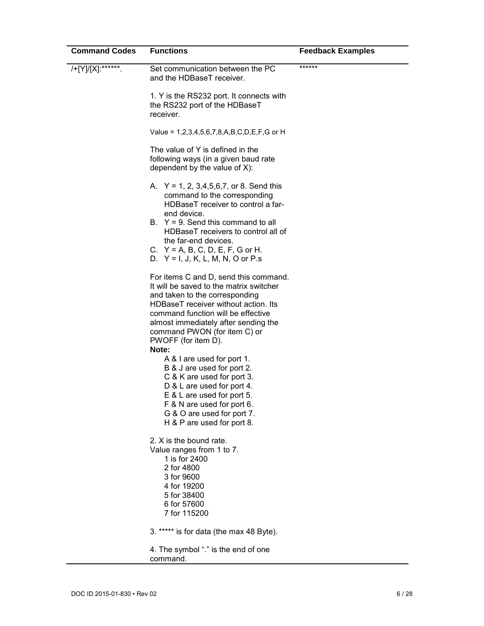| <b>Command Codes</b> | <b>Functions</b>                                                                                                                                                                                                                                                                                                                                                                                                                                                                                                                                         | <b>Feedback Examples</b> |
|----------------------|----------------------------------------------------------------------------------------------------------------------------------------------------------------------------------------------------------------------------------------------------------------------------------------------------------------------------------------------------------------------------------------------------------------------------------------------------------------------------------------------------------------------------------------------------------|--------------------------|
| /+[Y]/[X]:******.    | Set communication between the PC<br>and the HDBaseT receiver.                                                                                                                                                                                                                                                                                                                                                                                                                                                                                            | ******                   |
|                      | 1. Y is the RS232 port. It connects with<br>the RS232 port of the HDBaseT<br>receiver.                                                                                                                                                                                                                                                                                                                                                                                                                                                                   |                          |
|                      | Value = 1,2,3,4,5,6,7,8,A,B,C,D,E,F,G or H                                                                                                                                                                                                                                                                                                                                                                                                                                                                                                               |                          |
|                      | The value of Y is defined in the<br>following ways (in a given baud rate<br>dependent by the value of $X$ ):                                                                                                                                                                                                                                                                                                                                                                                                                                             |                          |
|                      | A. $Y = 1, 2, 3, 4, 5, 6, 7,$ or 8. Send this<br>command to the corresponding<br>HDBaseT receiver to control a far-<br>end device.<br>B. $Y = 9$ . Send this command to all<br>HDBaseT receivers to control all of<br>the far-end devices.<br>C. $Y = A$ , B, C, D, E, F, G or H.<br>D. $Y = I, J, K, L, M, N, O$ or P.s                                                                                                                                                                                                                                 |                          |
|                      | For items C and D, send this command.<br>It will be saved to the matrix switcher<br>and taken to the corresponding<br>HDBaseT receiver without action. Its<br>command function will be effective<br>almost immediately after sending the<br>command PWON (for item C) or<br>PWOFF (for item D).<br>Note:<br>A & I are used for port 1.<br>B & J are used for port 2.<br>C & K are used for port 3.<br>D & L are used for port 4.<br>E & L are used for port 5.<br>F & N are used for port 6.<br>G & O are used for port 7.<br>H & P are used for port 8. |                          |
|                      | 2. X is the bound rate.<br>Value ranges from 1 to 7.<br>1 is for 2400<br>2 for 4800<br>3 for 9600<br>4 for 19200<br>5 for 38400<br>6 for 57600<br>7 for 115200                                                                                                                                                                                                                                                                                                                                                                                           |                          |
|                      | 3. ***** is for data (the max 48 Byte).                                                                                                                                                                                                                                                                                                                                                                                                                                                                                                                  |                          |
|                      | 4. The symbol "." is the end of one<br>command.                                                                                                                                                                                                                                                                                                                                                                                                                                                                                                          |                          |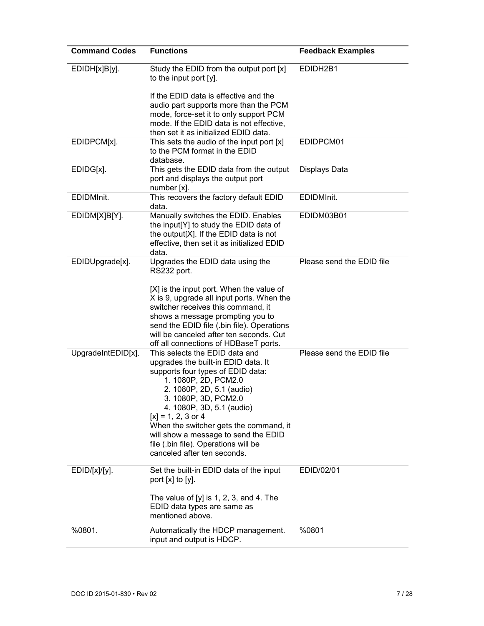| <b>Command Codes</b> | <b>Functions</b>                                                                      | <b>Feedback Examples</b>  |
|----------------------|---------------------------------------------------------------------------------------|---------------------------|
| EDIDH[x]B[y].        | Study the EDID from the output port [x]<br>to the input port [y].                     | EDIDH2B1                  |
|                      | If the EDID data is effective and the                                                 |                           |
|                      | audio part supports more than the PCM<br>mode, force-set it to only support PCM       |                           |
|                      | mode. If the EDID data is not effective,                                              |                           |
| EDIDPCM[x].          | then set it as initialized EDID data.<br>This sets the audio of the input port [x]    | EDIDPCM01                 |
|                      | to the PCM format in the EDID<br>database.                                            |                           |
| EDIDG[x].            | This gets the EDID data from the output<br>port and displays the output port          | Displays Data             |
|                      | number [x].                                                                           |                           |
| EDIDMInit.           | This recovers the factory default EDID<br>data.                                       | EDIDMInit.                |
| EDIDM[X]B[Y].        | Manually switches the EDID. Enables<br>the input[Y] to study the EDID data of         | EDIDM03B01                |
|                      | the output[X]. If the EDID data is not                                                |                           |
|                      | effective, then set it as initialized EDID<br>data.                                   |                           |
| EDIDUpgrade[x].      | Upgrades the EDID data using the<br>RS232 port.                                       | Please send the EDID file |
|                      | [X] is the input port. When the value of                                              |                           |
|                      | X is 9, upgrade all input ports. When the<br>switcher receives this command, it       |                           |
|                      | shows a message prompting you to                                                      |                           |
|                      | send the EDID file (.bin file). Operations<br>will be canceled after ten seconds. Cut |                           |
|                      | off all connections of HDBaseT ports.                                                 |                           |
| UpgradeIntEDID[x].   | This selects the EDID data and<br>upgrades the built-in EDID data. It                 | Please send the EDID file |
|                      | supports four types of EDID data:                                                     |                           |
|                      | 1. 1080P, 2D, PCM2.0                                                                  |                           |
|                      | 2. 1080P, 2D, 5.1 (audio)<br>3. 1080P, 3D, PCM2.0                                     |                           |
|                      | 4. 1080P, 3D, 5.1 (audio)                                                             |                           |
|                      | $[x] = 1, 2, 3$ or 4<br>When the switcher gets the command, it                        |                           |
|                      | will show a message to send the EDID                                                  |                           |
|                      | file (.bin file). Operations will be<br>canceled after ten seconds.                   |                           |
|                      |                                                                                       |                           |
| $EDID/[x]/[y]$ .     | Set the built-in EDID data of the input<br>port $[x]$ to $[y]$ .                      | EDID/02/01                |
|                      | The value of $[y]$ is 1, 2, 3, and 4. The<br>EDID data types are same as              |                           |
|                      | mentioned above.                                                                      |                           |
| %0801.               | Automatically the HDCP management.<br>input and output is HDCP.                       | %0801                     |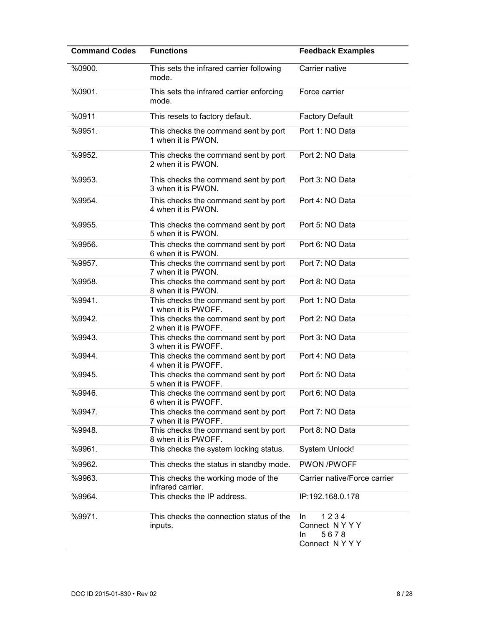| <b>Command Codes</b> | <b>Functions</b>                                            | <b>Feedback Examples</b>                                   |
|----------------------|-------------------------------------------------------------|------------------------------------------------------------|
| %0900.               | This sets the infrared carrier following<br>mode.           | Carrier native                                             |
| %0901.               | This sets the infrared carrier enforcing<br>mode.           | Force carrier                                              |
| %0911                | This resets to factory default.                             | <b>Factory Default</b>                                     |
| %9951.               | This checks the command sent by port<br>1 when it is PWON.  | Port 1: NO Data                                            |
| %9952.               | This checks the command sent by port<br>2 when it is PWON.  | Port 2: NO Data                                            |
| %9953.               | This checks the command sent by port<br>3 when it is PWON.  | Port 3: NO Data                                            |
| %9954.               | This checks the command sent by port<br>4 when it is PWON.  | Port 4: NO Data                                            |
| %9955.               | This checks the command sent by port<br>5 when it is PWON.  | Port 5: NO Data                                            |
| %9956.               | This checks the command sent by port<br>6 when it is PWON.  | Port 6: NO Data                                            |
| %9957.               | This checks the command sent by port<br>7 when it is PWON.  | Port 7: NO Data                                            |
| %9958.               | This checks the command sent by port<br>8 when it is PWON.  | Port 8: NO Data                                            |
| %9941.               | This checks the command sent by port<br>1 when it is PWOFF. | Port 1: NO Data                                            |
| %9942.               | This checks the command sent by port<br>2 when it is PWOFF. | Port 2: NO Data                                            |
| %9943.               | This checks the command sent by port<br>3 when it is PWOFF. | Port 3: NO Data                                            |
| %9944.               | This checks the command sent by port<br>4 when it is PWOFF. | Port 4: NO Data                                            |
| %9945.               | This checks the command sent by port<br>5 when it is PWOFF. | Port 5: NO Data                                            |
| %9946.               | This checks the command sent by port<br>6 when it is PWOFF. | Port 6: NO Data                                            |
| %9947.               | This checks the command sent by port<br>7 when it is PWOFF. | Port 7: NO Data                                            |
| %9948.               | This checks the command sent by port<br>8 when it is PWOFF. | Port 8: NO Data                                            |
| %9961.               | This checks the system locking status.                      | <b>System Unlock!</b>                                      |
| %9962.               | This checks the status in standby mode.                     | PWON /PWOFF                                                |
| %9963.               | This checks the working mode of the<br>infrared carrier.    | Carrier native/Force carrier                               |
| %9964.               | This checks the IP address.                                 | IP:192.168.0.178                                           |
| %9971.               | This checks the connection status of the<br>inputs.         | 1234<br>In.<br>Connect NYYY<br>5678<br>In.<br>Connect NYYY |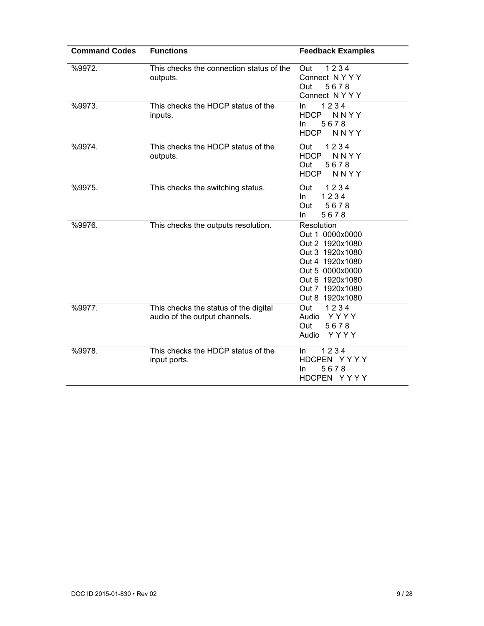| <b>Command Codes</b> | <b>Functions</b>                                                       | <b>Feedback Examples</b>                                                                                                                                           |
|----------------------|------------------------------------------------------------------------|--------------------------------------------------------------------------------------------------------------------------------------------------------------------|
| %9972.               | This checks the connection status of the<br>outputs.                   | 1234<br>Out<br>Connect NYYY<br>Out<br>5678<br>Connect NYYY                                                                                                         |
| %9973.               | This checks the HDCP status of the<br>inputs.                          | 1234<br>In.<br>NNYY<br><b>HDCP</b><br>5678<br>In.<br>NNYY<br><b>HDCP</b>                                                                                           |
| %9974.               | This checks the HDCP status of the<br>outputs.                         | 1234<br>Out<br><b>HDCP</b><br>NNYY<br>5678<br>Out<br><b>HDCP</b><br>NNYY                                                                                           |
| %9975.               | This checks the switching status.                                      | 1234<br>Out<br>1234<br>In.<br>5678<br>Out<br>5678<br>In.                                                                                                           |
| %9976.               | This checks the outputs resolution.                                    | Resolution<br>Out 1 0000x0000<br>Out 2 1920x1080<br>Out 3 1920x1080<br>Out 4 1920x1080<br>Out 5 0000x0000<br>Out 6 1920x1080<br>Out 7 1920x1080<br>Out 8 1920x1080 |
| %9977.               | This checks the status of the digital<br>audio of the output channels. | 1234<br>Out<br>YYYY<br>Audio<br>5678<br>Out<br>YYYY<br>Audio                                                                                                       |
| %9978.               | This checks the HDCP status of the<br>input ports.                     | 1234<br>In.<br>HDCPEN YYYY<br>In<br>5678<br>HDCPEN YYYY                                                                                                            |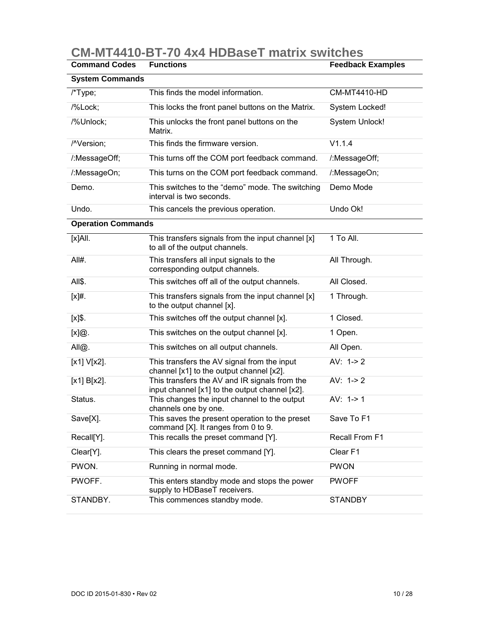| <b>Command Codes</b>      | <b>Functions</b>                                                                                | <b>Feedback Examples</b> |
|---------------------------|-------------------------------------------------------------------------------------------------|--------------------------|
| <b>System Commands</b>    |                                                                                                 |                          |
| /*Type;                   | This finds the model information.                                                               | <b>CM-MT4410-HD</b>      |
| /%Lock;                   | This locks the front panel buttons on the Matrix.                                               | System Locked!           |
| /%Unlock;                 | This unlocks the front panel buttons on the<br>Matrix.                                          | System Unlock!           |
| /^Version;                | This finds the firmware version.                                                                | V1.1.4                   |
| /:MessageOff;             | This turns off the COM port feedback command.                                                   | /:MessageOff;            |
| /:MessageOn;              | This turns on the COM port feedback command.                                                    | /:MessageOn;             |
| Demo.                     | This switches to the "demo" mode. The switching<br>interval is two seconds.                     | Demo Mode                |
| Undo.                     | This cancels the previous operation.                                                            | Undo Ok!                 |
| <b>Operation Commands</b> |                                                                                                 |                          |
| $[x]$ All.                | This transfers signals from the input channel [x]<br>to all of the output channels.             | 1 To All.                |
| All#.                     | This transfers all input signals to the<br>corresponding output channels.                       | All Through.             |
| All\$.                    | This switches off all of the output channels.                                                   | All Closed.              |
| $[x]$ #.                  | This transfers signals from the input channel [x]<br>to the output channel [x].                 | 1 Through.               |
| [x]\$.                    | This switches off the output channel [x].                                                       | 1 Closed.                |
| [x]@.                     | This switches on the output channel [x].                                                        | 1 Open.                  |
| All@.                     | This switches on all output channels.                                                           | All Open.                |
| [x1] V[x2].               | This transfers the AV signal from the input<br>channel [x1] to the output channel [x2].         | AV: $1->2$               |
| [x1] B[x2].               | This transfers the AV and IR signals from the<br>input channel [x1] to the output channel [x2]. | AV: $1 - > 2$            |
| Status.                   | This changes the input channel to the output<br>channels one by one.                            | AV: $1 - > 1$            |
| Save[X].                  | This saves the present operation to the preset<br>command [X]. It ranges from 0 to 9.           | Save To F1               |
| Recall[Y].                | This recalls the preset command [Y].                                                            | Recall From F1           |
| Clear[Y].                 | This clears the preset command [Y].                                                             | Clear F1                 |
| PWON.                     | Running in normal mode.                                                                         | <b>PWON</b>              |
| PWOFF.                    | This enters standby mode and stops the power<br>supply to HDBaseT receivers.                    | <b>PWOFF</b>             |
| STANDBY.                  | This commences standby mode.                                                                    | <b>STANDBY</b>           |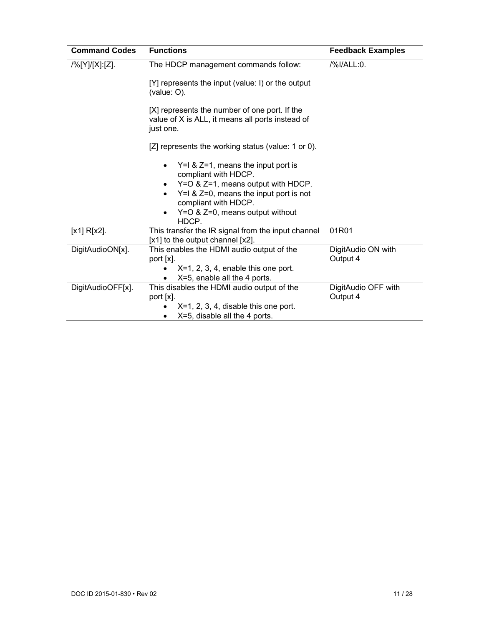| <b>Command Codes</b> | <b>Functions</b>                                                                                                                                                                                                                        | <b>Feedback Examples</b>        |
|----------------------|-----------------------------------------------------------------------------------------------------------------------------------------------------------------------------------------------------------------------------------------|---------------------------------|
| /%[Y]/[X]:[Z].       | The HDCP management commands follow:                                                                                                                                                                                                    | /%I/ALL:0.                      |
|                      | [Y] represents the input (value: I) or the output<br>(value: O).                                                                                                                                                                        |                                 |
|                      | [X] represents the number of one port. If the<br>value of X is ALL, it means all ports instead of<br>just one.                                                                                                                          |                                 |
|                      | [Z] represents the working status (value: 1 or 0).                                                                                                                                                                                      |                                 |
|                      | $Y=1$ & $Z=1$ , means the input port is<br>compliant with HDCP.<br>Y=O & Z=1, means output with HDCP.<br>$\bullet$<br>$Y=1$ & Z=0, means the input port is not<br>compliant with HDCP.<br>Y=O & Z=0, means output without<br>٠<br>HDCP. |                                 |
| $[x1] R[x2]$ .       | This transfer the IR signal from the input channel<br>[x1] to the output channel [x2].                                                                                                                                                  | 01R01                           |
| DigitAudioON[x].     | This enables the HDMI audio output of the<br>port [x].<br>$X=1$ , 2, 3, 4, enable this one port.<br>X=5, enable all the 4 ports.                                                                                                        | DigitAudio ON with<br>Output 4  |
| DigitAudioOFF[x].    | This disables the HDMI audio output of the<br>port [x].<br>$X=1, 2, 3, 4$ , disable this one port.<br>$X=5$ , disable all the 4 ports.<br>٠                                                                                             | DigitAudio OFF with<br>Output 4 |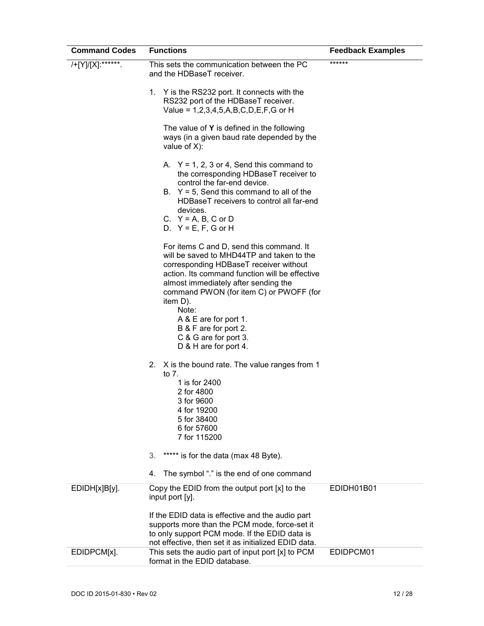| <b>Command Codes</b> | <b>Functions</b>                                                                                                                                                                                                                                                                                                                                                     | <b>Feedback Examples</b> |
|----------------------|----------------------------------------------------------------------------------------------------------------------------------------------------------------------------------------------------------------------------------------------------------------------------------------------------------------------------------------------------------------------|--------------------------|
| /+[Y]/[X]:******     | This sets the communication between the PC<br>and the HDBaseT receiver.                                                                                                                                                                                                                                                                                              | ******                   |
|                      | Y is the RS232 port. It connects with the<br>1.<br>RS232 port of the HDBaseT receiver.<br>Value = $1,2,3,4,5,A,B,C,D,E,F,G$ or H                                                                                                                                                                                                                                     |                          |
|                      | The value of $Y$ is defined in the following<br>ways (in a given baud rate depended by the<br>value of $X$ ):                                                                                                                                                                                                                                                        |                          |
|                      | A. $Y = 1, 2, 3$ or 4, Send this command to<br>the corresponding HDBaseT receiver to<br>control the far-end device.                                                                                                                                                                                                                                                  |                          |
|                      | B. $Y = 5$ , Send this command to all of the<br>HDBaseT receivers to control all far-end<br>devices.<br>C. $Y = A$ , B, C or D                                                                                                                                                                                                                                       |                          |
|                      | D. $Y = E$ , F, G or H                                                                                                                                                                                                                                                                                                                                               |                          |
|                      | For items C and D, send this command. It<br>will be saved to MHD44TP and taken to the<br>corresponding HDBaseT receiver without<br>action. Its command function will be effective<br>almost immediately after sending the<br>command PWON (for item C) or PWOFF (for<br>item D).<br>Note:<br>A & E are for port 1.<br>B & F are for port 2.<br>C & G are for port 3. |                          |
|                      | D & H are for port 4.<br>X is the bound rate. The value ranges from 1                                                                                                                                                                                                                                                                                                |                          |
|                      | 2.<br>to 7.<br>1 is for 2400<br>2 for 4800<br>3 for 9600<br>4 for 19200<br>5 for 38400<br>6 for 57600<br>7 for 115200                                                                                                                                                                                                                                                |                          |
|                      | 3.<br>***** is for the data (max 48 Byte).                                                                                                                                                                                                                                                                                                                           |                          |
|                      | The symbol "." is the end of one command<br>4.                                                                                                                                                                                                                                                                                                                       |                          |
| EDIDH[x]B[y].        | Copy the EDID from the output port [x] to the<br>input port [y].<br>If the EDID data is effective and the audio part<br>supports more than the PCM mode, force-set it<br>to only support PCM mode. If the EDID data is<br>not effective, then set it as initialized EDID data.                                                                                       | EDIDH01B01               |
| EDIDPCM[x].          | This sets the audio part of input port [x] to PCM<br>format in the EDID database.                                                                                                                                                                                                                                                                                    | EDIDPCM01                |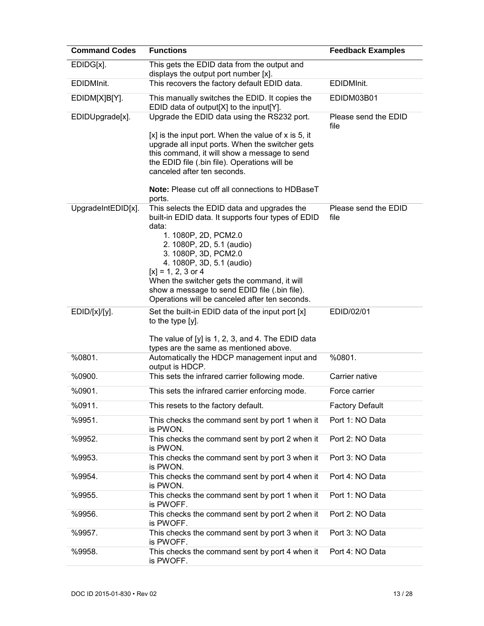| <b>Command Codes</b> | <b>Functions</b>                                                                                                                                                                                                                                                                                                                                                                               | <b>Feedback Examples</b>     |
|----------------------|------------------------------------------------------------------------------------------------------------------------------------------------------------------------------------------------------------------------------------------------------------------------------------------------------------------------------------------------------------------------------------------------|------------------------------|
| EDIDG[x].            | This gets the EDID data from the output and<br>displays the output port number [x].                                                                                                                                                                                                                                                                                                            |                              |
| EDIDMInit.           | This recovers the factory default EDID data.                                                                                                                                                                                                                                                                                                                                                   | EDIDMInit.                   |
| EDIDM[X]B[Y].        | This manually switches the EDID. It copies the<br>EDID data of output[X] to the input[Y].                                                                                                                                                                                                                                                                                                      | EDIDM03B01                   |
| EDIDUpgrade[x].      | Upgrade the EDID data using the RS232 port.<br>$[x]$ is the input port. When the value of x is 5, it<br>upgrade all input ports. When the switcher gets<br>this command, it will show a message to send<br>the EDID file (.bin file). Operations will be<br>canceled after ten seconds.<br><b>Note:</b> Please cut off all connections to HDBaseT<br>ports.                                    | Please send the EDID<br>file |
| UpgradeIntEDID[x].   | This selects the EDID data and upgrades the<br>built-in EDID data. It supports four types of EDID<br>data:<br>1. 1080P, 2D, PCM2.0<br>2. 1080P, 2D, 5.1 (audio)<br>3. 1080P, 3D, PCM2.0<br>4. 1080P, 3D, 5.1 (audio)<br>$[x] = 1, 2, 3$ or 4<br>When the switcher gets the command, it will<br>show a message to send EDID file (.bin file).<br>Operations will be canceled after ten seconds. | Please send the EDID<br>file |
| EDID/[x]/[y].        | Set the built-in EDID data of the input port [x]<br>to the type [y].<br>The value of $[y]$ is 1, 2, 3, and 4. The EDID data<br>types are the same as mentioned above.                                                                                                                                                                                                                          | EDID/02/01                   |
| %0801.               | Automatically the HDCP management input and<br>output is HDCP.                                                                                                                                                                                                                                                                                                                                 | %0801.                       |
| %0900.               | This sets the infrared carrier following mode.                                                                                                                                                                                                                                                                                                                                                 | Carrier native               |
| %0901.               | This sets the infrared carrier enforcing mode.                                                                                                                                                                                                                                                                                                                                                 | Force carrier                |
| %0911.               | This resets to the factory default.                                                                                                                                                                                                                                                                                                                                                            | <b>Factory Default</b>       |
| %9951.               | This checks the command sent by port 1 when it<br>is PWON.                                                                                                                                                                                                                                                                                                                                     | Port 1: NO Data              |
| %9952.               | This checks the command sent by port 2 when it<br>is PWON.                                                                                                                                                                                                                                                                                                                                     | Port 2: NO Data              |
| %9953.               | This checks the command sent by port 3 when it<br>is PWON.                                                                                                                                                                                                                                                                                                                                     | Port 3: NO Data              |
| %9954.               | This checks the command sent by port 4 when it<br>is PWON.                                                                                                                                                                                                                                                                                                                                     | Port 4: NO Data              |
| %9955.               | This checks the command sent by port 1 when it<br>is PWOFF.                                                                                                                                                                                                                                                                                                                                    | Port 1: NO Data              |
| %9956.               | This checks the command sent by port 2 when it<br>is PWOFF.                                                                                                                                                                                                                                                                                                                                    | Port 2: NO Data              |
| %9957.               | This checks the command sent by port 3 when it<br>is PWOFF.                                                                                                                                                                                                                                                                                                                                    | Port 3: NO Data              |
| %9958.               | This checks the command sent by port 4 when it<br>is PWOFF.                                                                                                                                                                                                                                                                                                                                    | Port 4: NO Data              |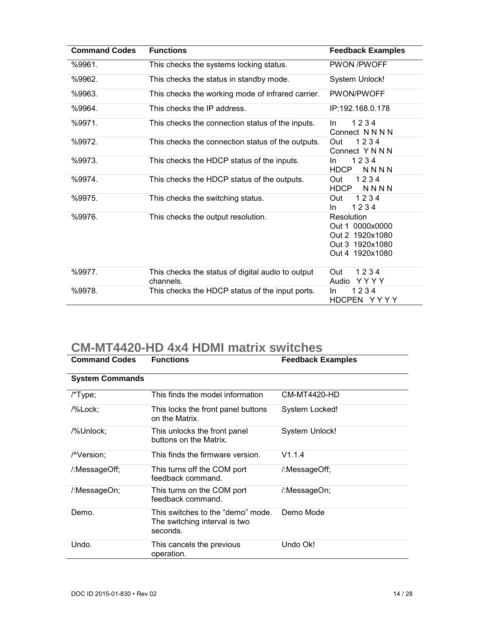| <b>Command Codes</b> | <b>Functions</b>                                               | <b>Feedback Examples</b>                                                               |
|----------------------|----------------------------------------------------------------|----------------------------------------------------------------------------------------|
| %9961.               | This checks the systems locking status.                        | <b>PWON /PWOFF</b>                                                                     |
| %9962.               | This checks the status in standby mode.                        | <b>System Unlock!</b>                                                                  |
| %9963.               | This checks the working mode of infrared carrier.              | PWON/PWOFF                                                                             |
| %9964.               | This checks the IP address.                                    | IP:192.168.0.178                                                                       |
| %9971.               | This checks the connection status of the inputs.               | 1234<br>In.<br>Connect N N N N                                                         |
| %9972.               | This checks the connection status of the outputs.              | 1234<br>Out<br>Connect Y N N N                                                         |
| %9973.               | This checks the HDCP status of the inputs.                     | 1234<br>In.<br><b>HDCP</b><br>NNNN                                                     |
| %9974.               | This checks the HDCP status of the outputs.                    | 1234<br>Out<br><b>HDCP</b><br><b>NNNN</b>                                              |
| %9975.               | This checks the switching status.                              | 1234<br>Out<br>1234<br>In.                                                             |
| %9976.               | This checks the output resolution.                             | Resolution<br>Out 1 0000x0000<br>Out 2 1920x1080<br>Out 3 1920x1080<br>Out 4 1920x1080 |
| %9977.               | This checks the status of digital audio to output<br>channels. | 1234<br>Out<br>YYYY<br>Audio                                                           |
| %9978.               | This checks the HDCP status of the input ports.                | 1234<br>In.<br>HDCPEN YYYY                                                             |

## **CM-MT4420-HD 4x4 HDMI matrix switches**

| <b>Command Codes</b>    | <b>Functions</b>                                                               | <b>Feedback Examples</b> |
|-------------------------|--------------------------------------------------------------------------------|--------------------------|
| <b>System Commands</b>  |                                                                                |                          |
| /*Type;                 | This finds the model information                                               | CM-MT4420-HD             |
| /%Lock;                 | This locks the front panel buttons<br>on the Matrix.                           | System Locked!           |
| /%Unlock;               | This unlocks the front panel<br>buttons on the Matrix.                         | <b>System Unlock!</b>    |
| / <sup>N</sup> version; | This finds the firmware version.                                               | V1.1.4                   |
| /:MessageOff;           | This turns off the COM port<br>feedback command.                               | /:MessageOff;            |
| /:MessageOn;            | This turns on the COM port<br>feedback command.                                | /:MessageOn;             |
| Demo.                   | This switches to the "demo" mode.<br>The switching interval is two<br>seconds. | Demo Mode                |
| Undo.                   | This cancels the previous<br>operation.                                        | Undo Ok!                 |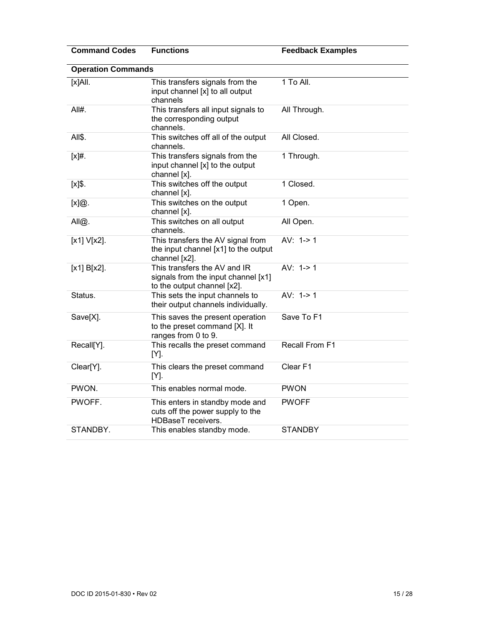| <b>Command Codes</b> | <b>Functions</b>                                                                                   | <b>Feedback Examples</b> |  |
|----------------------|----------------------------------------------------------------------------------------------------|--------------------------|--|
|                      | <b>Operation Commands</b>                                                                          |                          |  |
| $[X]$ All.           | This transfers signals from the<br>input channel [x] to all output<br>channels                     | 1 To All.                |  |
| All#.                | This transfers all input signals to<br>the corresponding output<br>channels.                       | All Through.             |  |
| All\$.               | This switches off all of the output<br>channels.                                                   | All Closed.              |  |
| $[x]$ #.             | This transfers signals from the<br>input channel [x] to the output<br>channel [x].                 | 1 Through.               |  |
| $[x]$ \$.            | This switches off the output<br>channel [x].                                                       | 1 Closed.                |  |
| [x]@.                | This switches on the output<br>channel [x].                                                        | 1 Open.                  |  |
| All@.                | This switches on all output<br>channels.                                                           | All Open.                |  |
| $[x1] V[x2]$ .       | This transfers the AV signal from<br>the input channel [x1] to the output<br>channel [x2].         | AV: $1 - > 1$            |  |
| $[x1] B[x2]$ .       | This transfers the AV and IR<br>signals from the input channel [x1]<br>to the output channel [x2]. | AV: $1 - > 1$            |  |
| Status.              | This sets the input channels to<br>their output channels individually.                             | AV: $1 - > 1$            |  |
| Save[X].             | This saves the present operation<br>to the preset command [X]. It<br>ranges from 0 to 9.           | Save To F1               |  |
| Recall[Y].           | This recalls the preset command<br>[Y].                                                            | Recall From F1           |  |
| Clear[Y].            | This clears the preset command<br>$[Y]$ .                                                          | Clear <sub>F1</sub>      |  |
| PWON.                | This enables normal mode.                                                                          | <b>PWON</b>              |  |
| PWOFF.               | This enters in standby mode and<br>cuts off the power supply to the<br><b>HDBaseT</b> receivers.   | <b>PWOFF</b>             |  |
| STANDBY.             | This enables standby mode.                                                                         | <b>STANDBY</b>           |  |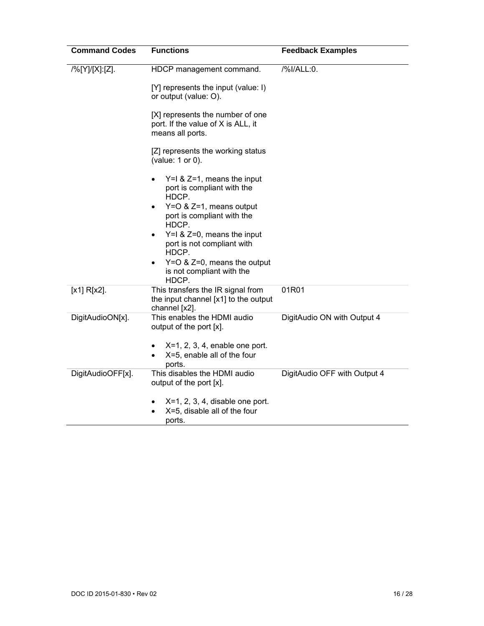| <b>Command Codes</b> | <b>Functions</b>                                                                           | <b>Feedback Examples</b>     |
|----------------------|--------------------------------------------------------------------------------------------|------------------------------|
| /%[Y]/[X]:[Z].       | HDCP management command.<br>[Y] represents the input (value: I)                            | /%I/ALL:0.                   |
|                      | or output (value: O).                                                                      |                              |
|                      | [X] represents the number of one<br>port. If the value of X is ALL, it<br>means all ports. |                              |
|                      | [Z] represents the working status<br>(value: 1 or 0).                                      |                              |
|                      | $Y=1$ & $Z=1$ , means the input<br>port is compliant with the<br>HDCP.                     |                              |
|                      | Y=O & Z=1, means output<br>port is compliant with the<br>HDCP.                             |                              |
|                      | $Y=1$ & Z=0, means the input<br>port is not compliant with<br>HDCP.                        |                              |
|                      | $Y=O$ & $Z=0$ , means the output<br>$\bullet$<br>is not compliant with the<br>HDCP.        |                              |
| $[x1] R[x2]$ .       | This transfers the IR signal from<br>the input channel [x1] to the output<br>channel [x2]. | 01R01                        |
| DigitAudioON[x].     | This enables the HDMI audio<br>output of the port [x].                                     | DigitAudio ON with Output 4  |
|                      | $X=1$ , 2, 3, 4, enable one port.<br>X=5, enable all of the four<br>ports.                 |                              |
| DigitAudioOFF[x].    | This disables the HDMI audio<br>output of the port [x].                                    | DigitAudio OFF with Output 4 |
|                      | $X=1$ , 2, 3, 4, disable one port.<br>X=5, disable all of the four<br>ports.               |                              |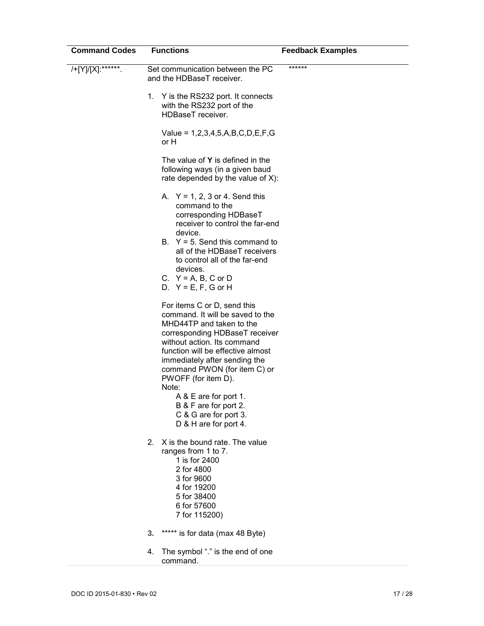| <b>Command Codes</b> | <b>Functions</b>                                                                                                                                                                                                                                                                                                                                                                                       | <b>Feedback Examples</b> |
|----------------------|--------------------------------------------------------------------------------------------------------------------------------------------------------------------------------------------------------------------------------------------------------------------------------------------------------------------------------------------------------------------------------------------------------|--------------------------|
| /+[Y]/[X]:******.    | Set communication between the PC<br>and the HDBaseT receiver.                                                                                                                                                                                                                                                                                                                                          | ******                   |
|                      | 1. Y is the RS232 port. It connects<br>with the RS232 port of the<br>HDBaseT receiver.                                                                                                                                                                                                                                                                                                                 |                          |
|                      | Value = $1,2,3,4,5,A,B,C,D,E,F,G$<br>or H                                                                                                                                                                                                                                                                                                                                                              |                          |
|                      | The value of <b>Y</b> is defined in the<br>following ways (in a given baud<br>rate depended by the value of X):                                                                                                                                                                                                                                                                                        |                          |
|                      | A. $Y = 1, 2, 3$ or 4. Send this<br>command to the<br>corresponding HDBaseT<br>receiver to control the far-end<br>device.<br>B. $Y = 5$ . Send this command to<br>all of the HDBaseT receivers<br>to control all of the far-end<br>devices.<br>C. $Y = A$ , B, C or D<br>D. $Y = E, F, G$ or H                                                                                                         |                          |
|                      | For items C or D, send this<br>command. It will be saved to the<br>MHD44TP and taken to the<br>corresponding HDBaseT receiver<br>without action. Its command<br>function will be effective almost<br>immediately after sending the<br>command PWON (for item C) or<br>PWOFF (for item D).<br>Note:<br>A & E are for port 1.<br>B & F are for port 2.<br>C & G are for port 3.<br>D & H are for port 4. |                          |
|                      | X is the bound rate. The value<br>$2_{-}$<br>ranges from 1 to 7.<br>1 is for 2400<br>2 for 4800<br>3 for 9600<br>4 for 19200<br>5 for 38400<br>6 for 57600<br>7 for 115200)                                                                                                                                                                                                                            |                          |
|                      | is for data (max 48 Byte)<br>*****<br>3.                                                                                                                                                                                                                                                                                                                                                               |                          |
|                      | The symbol "." is the end of one<br>4.<br>command.                                                                                                                                                                                                                                                                                                                                                     |                          |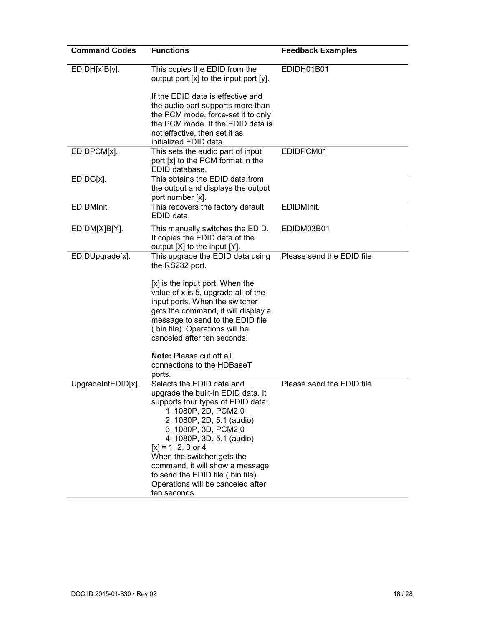| <b>Command Codes</b> | <b>Functions</b>                                                                                                                                                                                                                                                                                                                                                                                   | <b>Feedback Examples</b>  |
|----------------------|----------------------------------------------------------------------------------------------------------------------------------------------------------------------------------------------------------------------------------------------------------------------------------------------------------------------------------------------------------------------------------------------------|---------------------------|
| EDIDH[x]B[y].        | This copies the EDID from the<br>output port [x] to the input port [y].<br>If the EDID data is effective and<br>the audio part supports more than<br>the PCM mode, force-set it to only<br>the PCM mode. If the EDID data is<br>not effective, then set it as<br>initialized EDID data.                                                                                                            | EDIDH01B01                |
| EDIDPCM[x].          | This sets the audio part of input<br>port [x] to the PCM format in the<br>EDID database.                                                                                                                                                                                                                                                                                                           | EDIDPCM01                 |
| EDIDG[x].            | This obtains the EDID data from<br>the output and displays the output<br>port number [x].                                                                                                                                                                                                                                                                                                          |                           |
| EDIDMInit.           | This recovers the factory default<br>EDID data.                                                                                                                                                                                                                                                                                                                                                    | EDIDMInit.                |
| EDIDM[X]B[Y].        | This manually switches the EDID.<br>It copies the EDID data of the<br>output [X] to the input [Y].                                                                                                                                                                                                                                                                                                 | EDIDM03B01                |
| EDIDUpgrade[x].      | This upgrade the EDID data using<br>the RS232 port.<br>[x] is the input port. When the<br>value of x is 5, upgrade all of the<br>input ports. When the switcher<br>gets the command, it will display a<br>message to send to the EDID file<br>(.bin file). Operations will be<br>canceled after ten seconds.<br>Note: Please cut off all<br>connections to the HDBaseT<br>ports.                   | Please send the EDID file |
| UpgradeIntEDID[x].   | Selects the EDID data and<br>upgrade the built-in EDID data. It<br>supports four types of EDID data:<br>1. 1080P, 2D, PCM2.0<br>2. 1080P, 2D, 5.1 (audio)<br>3. 1080P, 3D, PCM2.0<br>4. 1080P, 3D, 5.1 (audio)<br>$[x] = 1, 2, 3$ or 4<br>When the switcher gets the<br>command, it will show a message<br>to send the EDID file (.bin file).<br>Operations will be canceled after<br>ten seconds. | Please send the EDID file |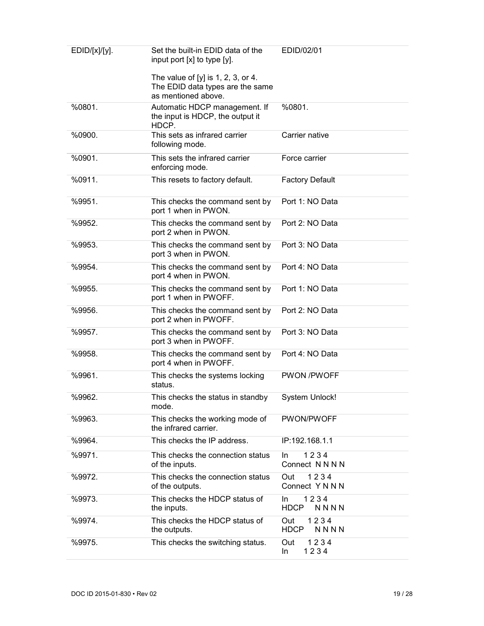| EDID/[x]/[y]. | Set the built-in EDID data of the<br>input port [x] to type [y].                                | EDID/02/01                         |
|---------------|-------------------------------------------------------------------------------------------------|------------------------------------|
|               | The value of $[y]$ is 1, 2, 3, or 4.<br>The EDID data types are the same<br>as mentioned above. |                                    |
| %0801.        | Automatic HDCP management. If<br>the input is HDCP, the output it<br>HDCP.                      | %0801.                             |
| %0900.        | This sets as infrared carrier<br>following mode.                                                | Carrier native                     |
| %0901.        | This sets the infrared carrier<br>enforcing mode.                                               | Force carrier                      |
| %0911.        | This resets to factory default.                                                                 | <b>Factory Default</b>             |
| %9951.        | This checks the command sent by<br>port 1 when in PWON.                                         | Port 1: NO Data                    |
| %9952.        | This checks the command sent by<br>port 2 when in PWON.                                         | Port 2: NO Data                    |
| %9953.        | This checks the command sent by<br>port 3 when in PWON.                                         | Port 3: NO Data                    |
| %9954.        | This checks the command sent by<br>port 4 when in PWON.                                         | Port 4: NO Data                    |
| %9955.        | This checks the command sent by<br>port 1 when in PWOFF.                                        | Port 1: NO Data                    |
| %9956.        | This checks the command sent by<br>port 2 when in PWOFF.                                        | Port 2: NO Data                    |
| %9957.        | This checks the command sent by<br>port 3 when in PWOFF.                                        | Port 3: NO Data                    |
| %9958.        | This checks the command sent by<br>port 4 when in PWOFF.                                        | Port 4: NO Data                    |
| %9961.        | This checks the systems locking<br>status.                                                      | <b>PWON /PWOFF</b>                 |
| %9962.        | This checks the status in standby<br>mode.                                                      | <b>System Unlock!</b>              |
| %9963.        | This checks the working mode of<br>the infrared carrier.                                        | PWON/PWOFF                         |
| %9964.        | This checks the IP address.                                                                     | IP:192.168.1.1                     |
| %9971.        | This checks the connection status<br>of the inputs.                                             | 1234<br>In.<br>Connect N N N N     |
| %9972.        | This checks the connection status<br>of the outputs.                                            | 1234<br>Out<br>Connect Y N N N     |
| %9973.        | This checks the HDCP status of<br>the inputs.                                                   | 1234<br>In.<br><b>HDCP</b><br>NNNN |
| %9974.        | This checks the HDCP status of<br>the outputs.                                                  | 1234<br>Out<br><b>HDCP</b><br>NNNN |
| %9975.        | This checks the switching status.                                                               | 1234<br>Out<br>1234<br>In          |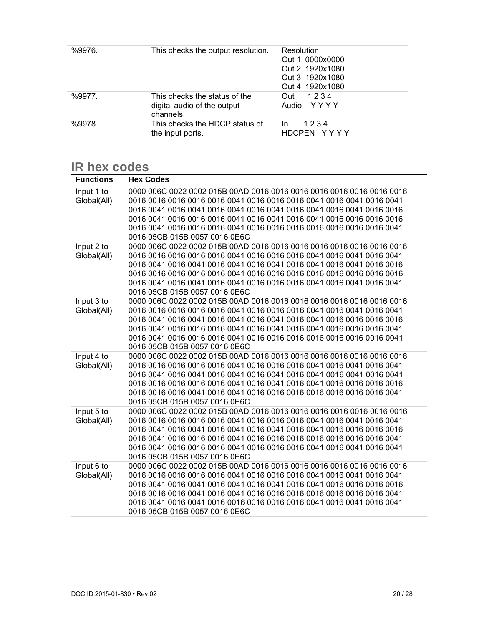| %9976. | This checks the output resolution.                                        | Resolution<br>Out 1 0000x0000<br>Out 2 1920x1080<br>Out 3 1920x1080<br>Out 4 1920x1080 |
|--------|---------------------------------------------------------------------------|----------------------------------------------------------------------------------------|
| %9977. | This checks the status of the<br>digital audio of the output<br>channels. | 1234<br>Out<br>Audio YYYY                                                              |
| %9978. | This checks the HDCP status of<br>the input ports.                        | 1234<br>In.<br>HDCPEN YYYY                                                             |

### **IR hex codes**

| <b>Functions</b> | <b>Hex Codes</b>                                                      |
|------------------|-----------------------------------------------------------------------|
| Input 1 to       |                                                                       |
| Global(All)      |                                                                       |
|                  |                                                                       |
|                  |                                                                       |
|                  |                                                                       |
|                  | 0016 05CB 015B 0057 0016 0E6C                                         |
| Input 2 to       |                                                                       |
| Global(All)      |                                                                       |
|                  |                                                                       |
|                  |                                                                       |
|                  |                                                                       |
|                  | 0016 05CB 015B 0057 0016 0E6C                                         |
| Input 3 to       |                                                                       |
| Global(All)      |                                                                       |
|                  |                                                                       |
|                  |                                                                       |
|                  |                                                                       |
|                  | 0016 05CB 015B 0057 0016 0E6C                                         |
| Input 4 to       |                                                                       |
| Global(All)      |                                                                       |
|                  | 0016 0041 0016 0041 0016 0041 0016 0041 0016 0041 0016 0041 0016 0041 |
|                  |                                                                       |
|                  |                                                                       |
|                  | 0016 05CB 015B 0057 0016 0E6C                                         |
| Input 5 to       |                                                                       |
| Global(All)      |                                                                       |
|                  |                                                                       |
|                  |                                                                       |
|                  | 0016 05CB 015B 0057 0016 0E6C                                         |
| Input 6 to       |                                                                       |
| Global(All)      |                                                                       |
|                  |                                                                       |
|                  |                                                                       |
|                  |                                                                       |
|                  | 0016 05CB 015B 0057 0016 0E6C                                         |
|                  |                                                                       |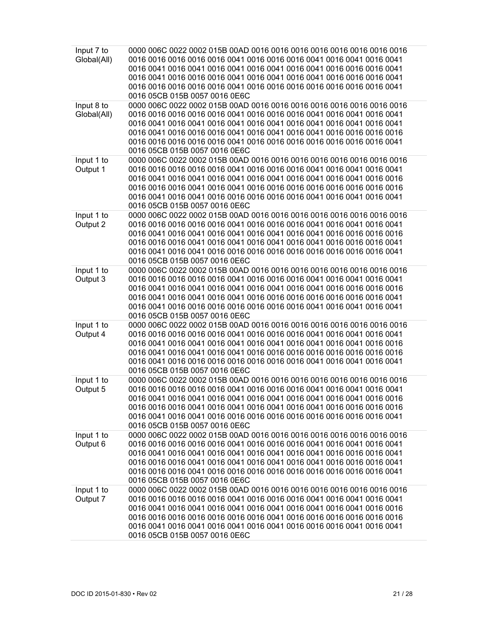| Input 7 to<br>Global(All) | 0016 05CB 015B 0057 0016 0E6C                                                                          |
|---------------------------|--------------------------------------------------------------------------------------------------------|
| Input 8 to<br>Global(All) | 0016 0041 0016 0041 0016 0041 0016 0041 0016 0041 0016 0041 0016 0041<br>0016 05CB 015B 0057 0016 0E6C |
| Input 1 to<br>Output 1    | 0016 05CB 015B 0057 0016 0E6C                                                                          |
| Input 1 to<br>Output 2    | 0016 05CB 015B 0057 0016 0E6C                                                                          |
| Input 1 to<br>Output 3    | 0016 05CB 015B 0057 0016 0E6C                                                                          |
| Input 1 to<br>Output 4    | 0016 05CB 015B 0057 0016 0E6C                                                                          |
| Input 1 to<br>Output 5    | 0016 05CB 015B 0057 0016 0E6C                                                                          |
| Input 1 to<br>Output 6    | 0016 05CB 015B 0057 0016 0E6C                                                                          |
| Input 1 to<br>Output 7    | 0016 05CB 015B 0057 0016 0E6C                                                                          |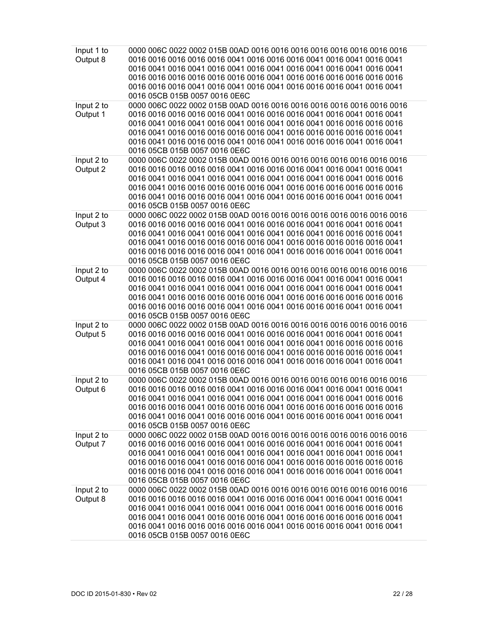| Input 1 to<br>Output 8 | 0016 0041 0016 0041 0016 0041 0016 0041 0016 0041 0016 0041 0016 0041<br>0016 05CB 015B 0057 0016 0E6C |
|------------------------|--------------------------------------------------------------------------------------------------------|
| Input 2 to<br>Output 1 | 0016 05CB 015B 0057 0016 0E6C                                                                          |
| Input 2 to<br>Output 2 | 0016 05CB 015B 0057 0016 0E6C                                                                          |
| Input 2 to<br>Output 3 | 0016 05CB 015B 0057 0016 0E6C                                                                          |
| Input 2 to<br>Output 4 | 0016 0041 0016 0041 0016 0041 0016 0041 0016 0041 0016 0041 0016 0041<br>0016 05CB 015B 0057 0016 0E6C |
| Input 2 to<br>Output 5 | 0016 05CB 015B 0057 0016 0E6C                                                                          |
| Input 2 to<br>Output 6 | 0016 05CB 015B 0057 0016 0E6C                                                                          |
| Input 2 to<br>Output 7 | 0016 0041 0016 0041 0016 0041 0016 0041 0016 0041 0016 0041 0016 0041<br>0016 05CB 015B 0057 0016 0E6C |
| Input 2 to<br>Output 8 | 0016 05CB 015B 0057 0016 0E6C                                                                          |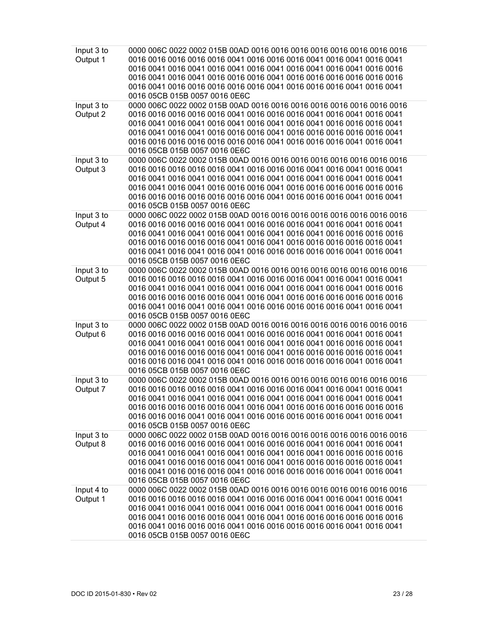| Input 3 to<br>Output 1 | 0016 05CB 015B 0057 0016 0E6C                                                                          |
|------------------------|--------------------------------------------------------------------------------------------------------|
| Input 3 to<br>Output 2 | 0016 05CB 015B 0057 0016 0E6C                                                                          |
| Input 3 to<br>Output 3 | 0016 0041 0016 0041 0016 0041 0016 0041 0016 0041 0016 0041 0016 0041<br>0016 05CB 015B 0057 0016 0E6C |
| Input 3 to<br>Output 4 | 0016 05CB 015B 0057 0016 0E6C                                                                          |
| Input 3 to<br>Output 5 | 0016 05CB 015B 0057 0016 0E6C                                                                          |
| Input 3 to<br>Output 6 | 0016 05CB 015B 0057 0016 0E6C                                                                          |
| Input 3 to<br>Output 7 | 0016 0041 0016 0041 0016 0041 0016 0041 0016 0041 0016 0041 0016 0041<br>0016 05CB 015B 0057 0016 0E6C |
| Input 3 to<br>Output 8 | 0016 05CB 015B 0057 0016 0E6C                                                                          |
| Input 4 to<br>Output 1 | 0016 05CB 015B 0057 0016 0E6C                                                                          |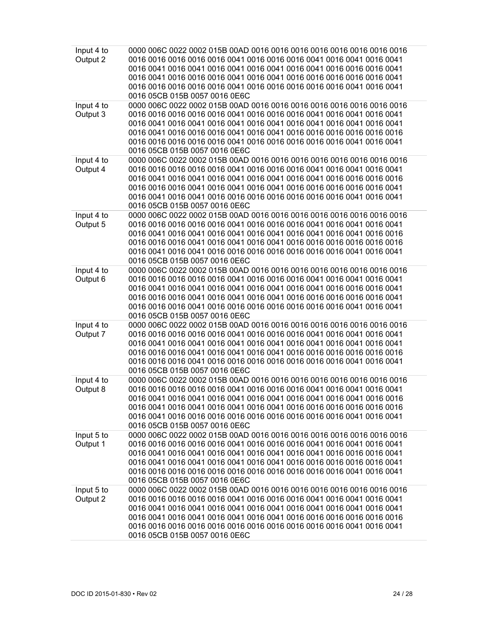| Input 4 to<br>Output 2 | 0016 05CB 015B 0057 0016 0E6C                                                                          |
|------------------------|--------------------------------------------------------------------------------------------------------|
| Input 4 to<br>Output 3 | 0016 0041 0016 0041 0016 0041 0016 0041 0016 0041 0016 0041 0016 0041<br>0016 05CB 015B 0057 0016 0E6C |
| Input 4 to<br>Output 4 | 0016 05CB 015B 0057 0016 0E6C                                                                          |
| Input 4 to<br>Output 5 | 0016 05CB 015B 0057 0016 0E6C                                                                          |
| Input 4 to<br>Output 6 | 0016 05CB 015B 0057 0016 0E6C                                                                          |
| Input 4 to<br>Output 7 | 0016 0041 0016 0041 0016 0041 0016 0041 0016 0041 0016 0041 0016 0041<br>0016 05CB 015B 0057 0016 0E6C |
| Input 4 to<br>Output 8 | 0016 05CB 015B 0057 0016 0E6C                                                                          |
| Input 5 to<br>Output 1 | 0016 05CB 015B 0057 0016 0E6C                                                                          |
| Input 5 to<br>Output 2 | 0016 0041 0016 0041 0016 0041 0016 0041 0016 0041 0016 0041 0016 0041<br>0016 05CB 015B 0057 0016 0E6C |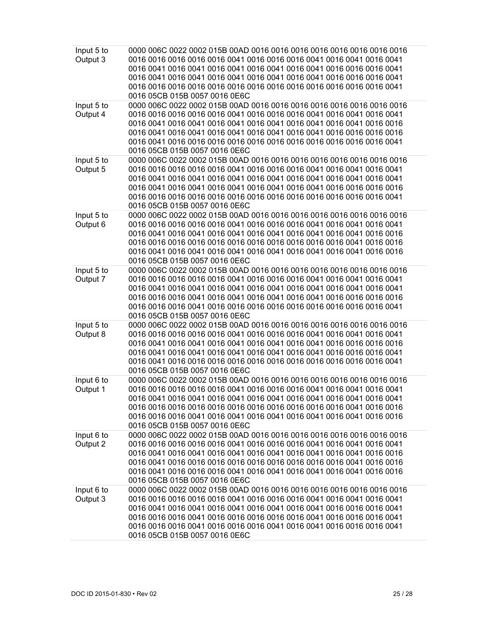| Input 5 to<br>Output 3 | 0016 05CB 015B 0057 0016 0E6C                                                                          |
|------------------------|--------------------------------------------------------------------------------------------------------|
| Input 5 to<br>Output 4 | 0016 05CB 015B 0057 0016 0E6C                                                                          |
| Input 5 to<br>Output 5 | 0016 0041 0016 0041 0016 0041 0016 0041 0016 0041 0016 0041 0016 0041<br>0016 05CB 015B 0057 0016 0E6C |
| Input 5 to<br>Output 6 | 0016 05CB 015B 0057 0016 0E6C                                                                          |
| Input 5 to<br>Output 7 | 0016 0041 0016 0041 0016 0041 0016 0041 0016 0041 0016 0041 0016 0041<br>0016 05CB 015B 0057 0016 0E6C |
| Input 5 to<br>Output 8 | 0016 05CB 015B 0057 0016 0E6C                                                                          |
| Input 6 to<br>Output 1 | 0016 0041 0016 0041 0016 0041 0016 0041 0016 0041 0016 0041 0016 0041<br>0016 05CB 015B 0057 0016 0E6C |
| Input 6 to<br>Output 2 | 0016 05CB 015B 0057 0016 0E6C                                                                          |
| Input 6 to<br>Output 3 | 0016 05CB 015B 0057 0016 0E6C                                                                          |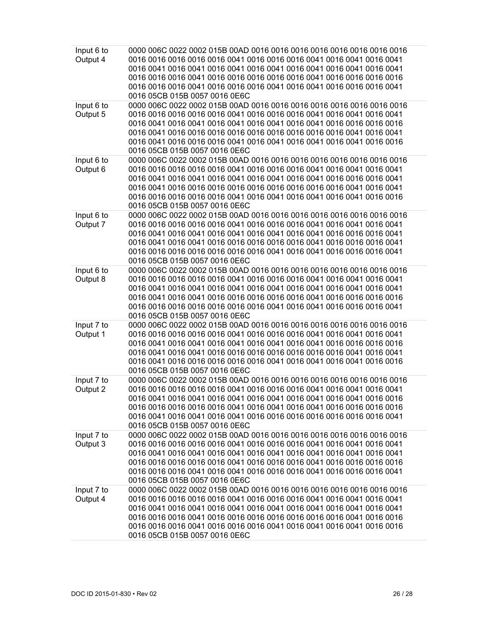| Input 6 to<br>Output 4 | 0016 0041 0016 0041 0016 0041 0016 0041 0016 0041 0016 0041 0016 0041<br>0016 05CB 015B 0057 0016 0E6C |
|------------------------|--------------------------------------------------------------------------------------------------------|
| Input 6 to<br>Output 5 | 0016 05CB 015B 0057 0016 0E6C                                                                          |
| Input 6 to<br>Output 6 | 0016 05CB 015B 0057 0016 0E6C                                                                          |
| Input 6 to<br>Output 7 | 0016 05CB 015B 0057 0016 0E6C                                                                          |
| Input 6 to<br>Output 8 | 0016 0041 0016 0041 0016 0041 0016 0041 0016 0041 0016 0041 0016 0041<br>0016 05CB 015B 0057 0016 0E6C |
| Input 7 to<br>Output 1 | 0016 05CB 015B 0057 0016 0E6C                                                                          |
| Input 7 to<br>Output 2 | 0016 05CB 015B 0057 0016 0E6C                                                                          |
| Input 7 to<br>Output 3 | 0016 0041 0016 0041 0016 0041 0016 0041 0016 0041 0016 0041 0016 0041<br>0016 05CB 015B 0057 0016 0E6C |
| Input 7 to<br>Output 4 | 0016 0041 0016 0041 0016 0041 0016 0041 0016 0041 0016 0041 0016 0041<br>0016 05CB 015B 0057 0016 0E6C |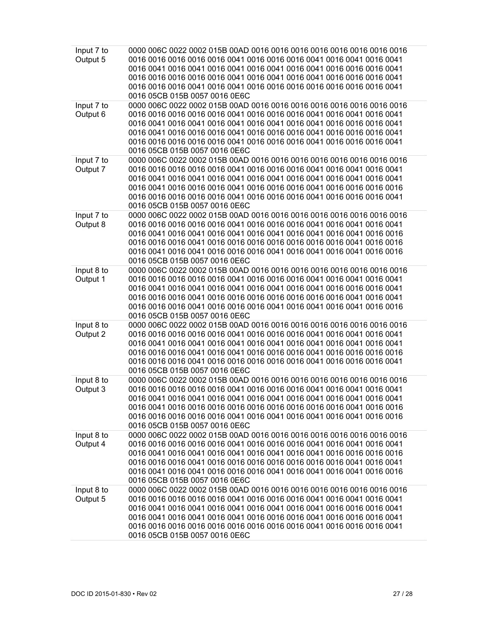| Input 7 to<br>Output 5 | 0016 05CB 015B 0057 0016 0E6C                                                                          |
|------------------------|--------------------------------------------------------------------------------------------------------|
| Input 7 to<br>Output 6 | 0016 05CB 015B 0057 0016 0E6C                                                                          |
| Input 7 to<br>Output 7 | 0016 0041 0016 0041 0016 0041 0016 0041 0016 0041 0016 0041 0016 0041<br>0016 05CB 015B 0057 0016 0E6C |
| Input 7 to<br>Output 8 | 0016 05CB 015B 0057 0016 0E6C                                                                          |
| Input 8 to<br>Output 1 | 0016 05CB 015B 0057 0016 0E6C                                                                          |
| Input 8 to<br>Output 2 | 0016 0041 0016 0041 0016 0041 0016 0041 0016 0041 0016 0041 0016 0041<br>0016 05CB 015B 0057 0016 0E6C |
| Input 8 to<br>Output 3 | 0016 0041 0016 0041 0016 0041 0016 0041 0016 0041 0016 0041 0016 0041<br>0016 05CB 015B 0057 0016 0E6C |
| Input 8 to<br>Output 4 | 0016 05CB 015B 0057 0016 0E6C                                                                          |
| Input 8 to<br>Output 5 | 0016 05CB 015B 0057 0016 0E6C                                                                          |